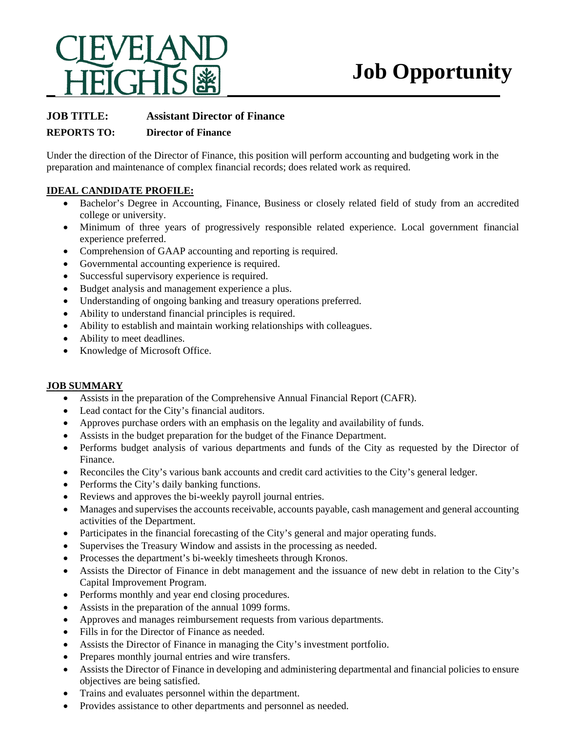

# **Job Opportunity**

## **JOB TITLE: Assistant Director of Finance**

### **REPORTS TO: Director of Finance**

Under the direction of the Director of Finance, this position will perform accounting and budgeting work in the preparation and maintenance of complex financial records; does related work as required.

#### **IDEAL CANDIDATE PROFILE:**

- Bachelor's Degree in Accounting, Finance, Business or closely related field of study from an accredited college or university.
- Minimum of three years of progressively responsible related experience. Local government financial experience preferred.
- Comprehension of GAAP accounting and reporting is required.
- Governmental accounting experience is required.
- Successful supervisory experience is required.
- Budget analysis and management experience a plus.
- Understanding of ongoing banking and treasury operations preferred.
- Ability to understand financial principles is required.
- Ability to establish and maintain working relationships with colleagues.
- Ability to meet deadlines.
- Knowledge of Microsoft Office.

#### **JOB SUMMARY**

- Assists in the preparation of the Comprehensive Annual Financial Report (CAFR).
- Lead contact for the City's financial auditors.
- Approves purchase orders with an emphasis on the legality and availability of funds.
- Assists in the budget preparation for the budget of the Finance Department.
- Performs budget analysis of various departments and funds of the City as requested by the Director of Finance.
- Reconciles the City's various bank accounts and credit card activities to the City's general ledger.
- Performs the City's daily banking functions.
- Reviews and approves the bi-weekly payroll journal entries.
- Manages and supervises the accounts receivable, accounts payable, cash management and general accounting activities of the Department.
- Participates in the financial forecasting of the City's general and major operating funds.
- Supervises the Treasury Window and assists in the processing as needed.
- Processes the department's bi-weekly timesheets through Kronos.
- Assists the Director of Finance in debt management and the issuance of new debt in relation to the City's Capital Improvement Program.
- Performs monthly and year end closing procedures.
- Assists in the preparation of the annual 1099 forms.
- Approves and manages reimbursement requests from various departments.
- Fills in for the Director of Finance as needed.
- Assists the Director of Finance in managing the City's investment portfolio.
- Prepares monthly journal entries and wire transfers.
- Assists the Director of Finance in developing and administering departmental and financial policies to ensure objectives are being satisfied.
- Trains and evaluates personnel within the department.
- Provides assistance to other departments and personnel as needed.